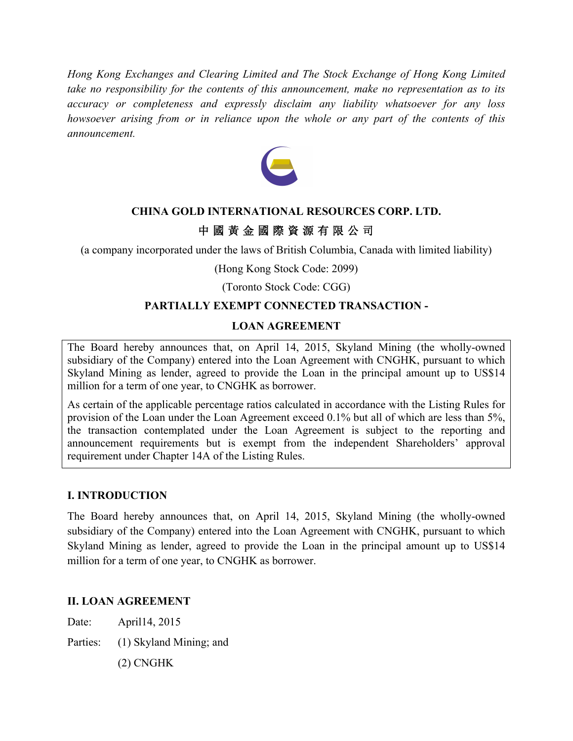*Hong Kong Exchanges and Clearing Limited and The Stock Exchange of Hong Kong Limited take no responsibility for the contents of this announcement, make no representation as to its accuracy or completeness and expressly disclaim any liability whatsoever for any loss howsoever arising from or in reliance upon the whole or any part of the contents of this announcement.* 



### **CHINA GOLD INTERNATIONAL RESOURCES CORP. LTD.**

# 中 國 黃 金 國 際 資 源 有 限 公 司

(a company incorporated under the laws of British Columbia, Canada with limited liability)

(Hong Kong Stock Code: 2099)

(Toronto Stock Code: CGG)

#### **PARTIALLY EXEMPT CONNECTED TRANSACTION -**

#### **LOAN AGREEMENT**

The Board hereby announces that, on April 14, 2015, Skyland Mining (the wholly-owned subsidiary of the Company) entered into the Loan Agreement with CNGHK, pursuant to which Skyland Mining as lender, agreed to provide the Loan in the principal amount up to US\$14 million for a term of one year, to CNGHK as borrower.

As certain of the applicable percentage ratios calculated in accordance with the Listing Rules for provision of the Loan under the Loan Agreement exceed 0.1% but all of which are less than 5%, the transaction contemplated under the Loan Agreement is subject to the reporting and announcement requirements but is exempt from the independent Shareholders' approval requirement under Chapter 14A of the Listing Rules.

#### **I. INTRODUCTION**

The Board hereby announces that, on April 14, 2015, Skyland Mining (the wholly-owned subsidiary of the Company) entered into the Loan Agreement with CNGHK, pursuant to which Skyland Mining as lender, agreed to provide the Loan in the principal amount up to US\$14 million for a term of one year, to CNGHK as borrower.

#### **II. LOAN AGREEMENT**

Date: April14, 2015

Parties: (1) Skyland Mining; and

(2) CNGHK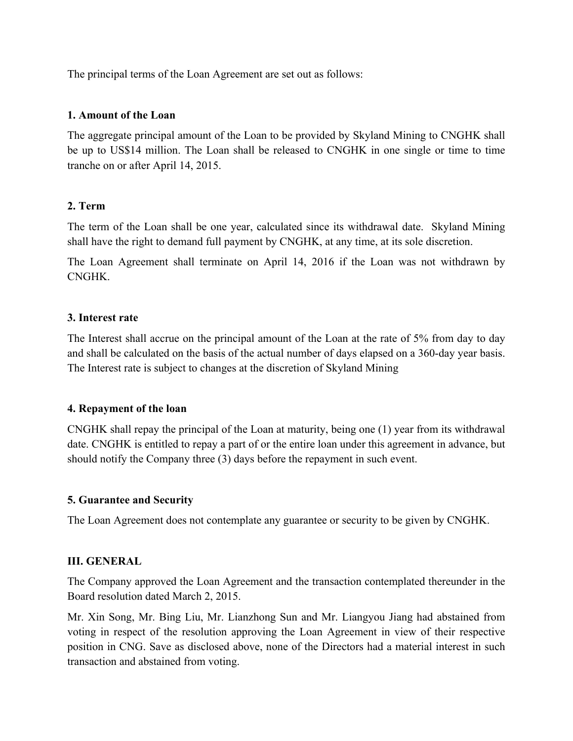The principal terms of the Loan Agreement are set out as follows:

#### **1. Amount of the Loan**

The aggregate principal amount of the Loan to be provided by Skyland Mining to CNGHK shall be up to US\$14 million. The Loan shall be released to CNGHK in one single or time to time tranche on or after April 14, 2015.

### **2. Term**

The term of the Loan shall be one year, calculated since its withdrawal date. Skyland Mining shall have the right to demand full payment by CNGHK, at any time, at its sole discretion.

The Loan Agreement shall terminate on April 14, 2016 if the Loan was not withdrawn by CNGHK.

### **3. Interest rate**

The Interest shall accrue on the principal amount of the Loan at the rate of 5% from day to day and shall be calculated on the basis of the actual number of days elapsed on a 360-day year basis. The Interest rate is subject to changes at the discretion of Skyland Mining

### **4. Repayment of the loan**

CNGHK shall repay the principal of the Loan at maturity, being one (1) year from its withdrawal date. CNGHK is entitled to repay a part of or the entire loan under this agreement in advance, but should notify the Company three (3) days before the repayment in such event.

### **5. Guarantee and Security**

The Loan Agreement does not contemplate any guarantee or security to be given by CNGHK.

### **III. GENERAL**

The Company approved the Loan Agreement and the transaction contemplated thereunder in the Board resolution dated March 2, 2015.

Mr. Xin Song, Mr. Bing Liu, Mr. Lianzhong Sun and Mr. Liangyou Jiang had abstained from voting in respect of the resolution approving the Loan Agreement in view of their respective position in CNG. Save as disclosed above, none of the Directors had a material interest in such transaction and abstained from voting.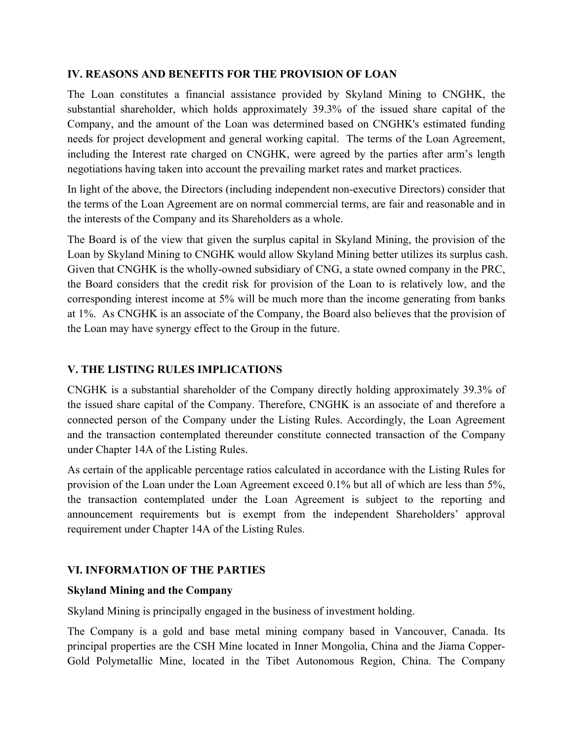### **IV. REASONS AND BENEFITS FOR THE PROVISION OF LOAN**

The Loan constitutes a financial assistance provided by Skyland Mining to CNGHK, the substantial shareholder, which holds approximately 39.3% of the issued share capital of the Company, and the amount of the Loan was determined based on CNGHK's estimated funding needs for project development and general working capital. The terms of the Loan Agreement, including the Interest rate charged on CNGHK, were agreed by the parties after arm's length negotiations having taken into account the prevailing market rates and market practices.

In light of the above, the Directors (including independent non-executive Directors) consider that the terms of the Loan Agreement are on normal commercial terms, are fair and reasonable and in the interests of the Company and its Shareholders as a whole.

The Board is of the view that given the surplus capital in Skyland Mining, the provision of the Loan by Skyland Mining to CNGHK would allow Skyland Mining better utilizes its surplus cash. Given that CNGHK is the wholly-owned subsidiary of CNG, a state owned company in the PRC, the Board considers that the credit risk for provision of the Loan to is relatively low, and the corresponding interest income at 5% will be much more than the income generating from banks at 1%. As CNGHK is an associate of the Company, the Board also believes that the provision of the Loan may have synergy effect to the Group in the future.

# **V. THE LISTING RULES IMPLICATIONS**

CNGHK is a substantial shareholder of the Company directly holding approximately 39.3% of the issued share capital of the Company. Therefore, CNGHK is an associate of and therefore a connected person of the Company under the Listing Rules. Accordingly, the Loan Agreement and the transaction contemplated thereunder constitute connected transaction of the Company under Chapter 14A of the Listing Rules.

As certain of the applicable percentage ratios calculated in accordance with the Listing Rules for provision of the Loan under the Loan Agreement exceed 0.1% but all of which are less than 5%, the transaction contemplated under the Loan Agreement is subject to the reporting and announcement requirements but is exempt from the independent Shareholders' approval requirement under Chapter 14A of the Listing Rules.

### **VI. INFORMATION OF THE PARTIES**

### **Skyland Mining and the Company**

Skyland Mining is principally engaged in the business of investment holding.

The Company is a gold and base metal mining company based in Vancouver, Canada. Its principal properties are the CSH Mine located in Inner Mongolia, China and the Jiama Copper-Gold Polymetallic Mine, located in the Tibet Autonomous Region, China. The Company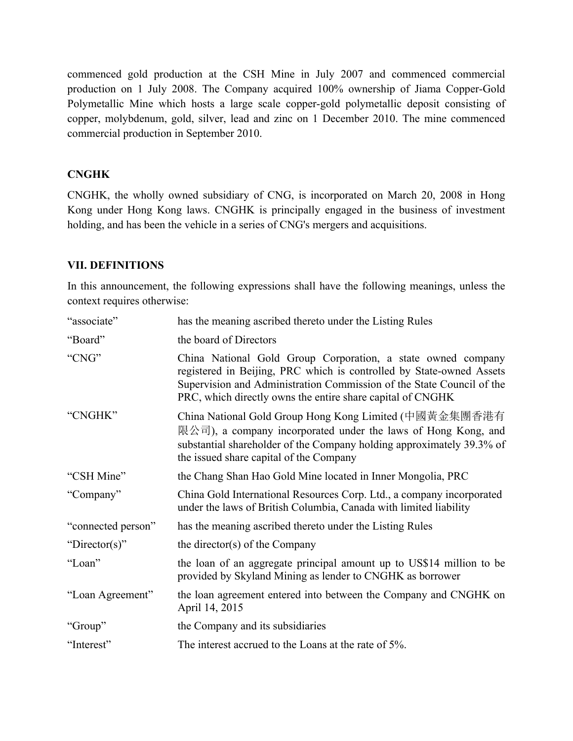commenced gold production at the CSH Mine in July 2007 and commenced commercial production on 1 July 2008. The Company acquired 100% ownership of Jiama Copper-Gold Polymetallic Mine which hosts a large scale copper-gold polymetallic deposit consisting of copper, molybdenum, gold, silver, lead and zinc on 1 December 2010. The mine commenced commercial production in September 2010.

# **CNGHK**

CNGHK, the wholly owned subsidiary of CNG, is incorporated on March 20, 2008 in Hong Kong under Hong Kong laws. CNGHK is principally engaged in the business of investment holding, and has been the vehicle in a series of CNG's mergers and acquisitions.

### **VII. DEFINITIONS**

In this announcement, the following expressions shall have the following meanings, unless the context requires otherwise:

| "associate"        | has the meaning ascribed thereto under the Listing Rules                                                                                                                                                                                                                    |
|--------------------|-----------------------------------------------------------------------------------------------------------------------------------------------------------------------------------------------------------------------------------------------------------------------------|
| "Board"            | the board of Directors                                                                                                                                                                                                                                                      |
| "CNG"              | China National Gold Group Corporation, a state owned company<br>registered in Beijing, PRC which is controlled by State-owned Assets<br>Supervision and Administration Commission of the State Council of the<br>PRC, which directly owns the entire share capital of CNGHK |
| "CNGHK"            | China National Gold Group Hong Kong Limited (中國黃金集團香港有<br>限公司), a company incorporated under the laws of Hong Kong, and<br>substantial shareholder of the Company holding approximately 39.3% of<br>the issued share capital of the Company                                 |
| "CSH Mine"         | the Chang Shan Hao Gold Mine located in Inner Mongolia, PRC                                                                                                                                                                                                                 |
| "Company"          | China Gold International Resources Corp. Ltd., a company incorporated<br>under the laws of British Columbia, Canada with limited liability                                                                                                                                  |
| "connected person" | has the meaning ascribed thereto under the Listing Rules                                                                                                                                                                                                                    |
| "Director(s)"      | the director(s) of the Company                                                                                                                                                                                                                                              |
| "Loan"             | the loan of an aggregate principal amount up to US\$14 million to be<br>provided by Skyland Mining as lender to CNGHK as borrower                                                                                                                                           |
| "Loan Agreement"   | the loan agreement entered into between the Company and CNGHK on<br>April 14, 2015                                                                                                                                                                                          |
| "Group"            | the Company and its subsidiaries                                                                                                                                                                                                                                            |
| "Interest"         | The interest accrued to the Loans at the rate of 5%.                                                                                                                                                                                                                        |